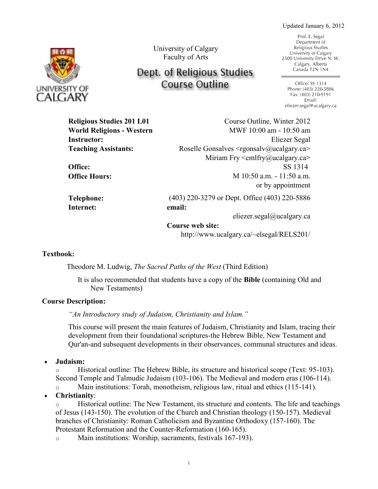Updated January 6, 2012



University of Calgary Faculty of Arts

# Dept. of Religious Studies **Course Outline**

Prof. E. Segal Department of Religious Studies University of Calgary 2500 University Drive N. W. Calgary, Alberta Canada T2N 1N4

Office: SS 1314 Phone: (403) 220-5886 Fax: (403) 210-9191 Email: eliezer.segal@ucalgary.ca

**Religious Studies 201 L01** Course Outline, Winter 2012 **World Religions - Western Instructor:** Eliezer Segal Teaching Assistants: **Roselle Gonsalves <rgonsalv@ucalgary.ca>** *Miriam Fry < cmlfry@ucalgary.ca>* **Office:** SS 1314 **Office:** SS 1314<br> **2015:** M 10:50 a.m. - 11:50 a.m. or by appointment **Telephone:** (403) 220-3279 or Dept. Office (403) 220-5886 **Internet: email:** eliezer.segal@ucalgary.ca **Course web site:** *MWF* 10:00 am - 10:50 am **Religious Studies 201 L01 World Religions— Religious Studies Office Hours:** SS 1314 **Instruction**: **Instruction**: **Elien Teach Assistant:** Justine Semail: *Justine Semail:* Justine Semail: *Justine Semail: Justine Semail: Justine Semail: Justine Semail: Justine Semail: Justine Semail: Justine Semail: Justine Semail: Justine* **Telephone:**  $\frac{3}{11}$ 

**Course web site.**<br>http://www.ucalgary.ca/~elsegal/RELS201/

# **Textbook:**

Theodore M. Ludwig, *The Sacred Paths of the West* (Third Edition)

It is also recommended that students have a copy of the Bible (containing Old and New Testaments) **Internet: email:**  $\mathcal{O}(\mathcal{A})$ 

## **Course Description:**

"An Introductory study of Judaism, Christianity and Islam."

This course will present the main features of Judaism, Christianity and Islam, tracing their development from their foundational scriptures-the Hebrew Bible, New Testament and Qur'an-and subsequent developments in their observances, communal structures and ideas. **Internet: email:**

 **Judaism: Textbook:**

o Historical outline: The Hebrew Bible, its structure and historical scope (Text: 95-103). Second Temple and Talmudic Judaism  $(103-106)$ . The Medieval and modern eras  $(106-114)$ .

Main institutions: Torah, monotheism, religious law, ritual and ethics (115-141).

• Christianity:

**It is also related that students have restament**, its structure and contents. The life and teachings **Bible** (Bible of Jesus (143-150). The evolution of the Church and Christian theology (150-157). Medieval branches of Christianity: Roman Catholicism and Byzantine Orthodoxy (157-160). The Protestant Reformation and the Counter-Reformation (160-165).

o Main institutions: Worship, sacraments, festivals 167-193).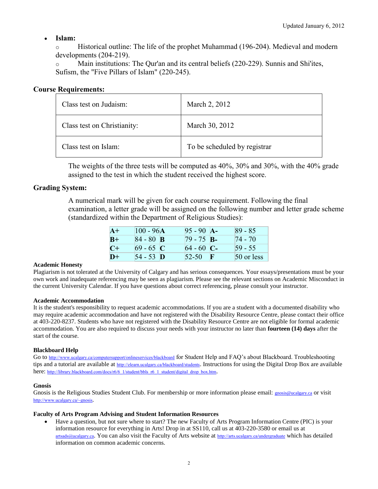# **Islam:**

o Historical outline: The life of the prophet Muhammad (196-204). Medieval and modern developments (204-219).

o Main institutions: The Qur'an and its central beliefs (220-229). Sunnis and Shi'ites, Sufism, the "Five Pillars of Islam" (220-245).

# **Course Requirements:**

| Class test on Judaism:      | March 2, 2012                |
|-----------------------------|------------------------------|
| Class test on Christianity: | March 30, 2012               |
| Class test on Islam:        | To be scheduled by registrar |

The weights of the three tests will be computed as 40%, 30% and 30%, with the 40% grade assigned to the test in which the student received the highest score.

# **Grading System:**

A numerical mark will be given for each course requirement. Following the final examination, a letter grade will be assigned on the following number and letter grade scheme (standardized within the Department of Religious Studies):

| $A+$ | $100 - 96A$      | $95 - 90$ A- | $ 89 - 85 $ |
|------|------------------|--------------|-------------|
| $B+$ | 84 - 80 <b>B</b> | $79 - 75$ B- | $74 - 70$   |
| $C+$ | $69 - 65$ C      | $64 - 60$ C- | $59 - 55$   |
| $D+$ | 54 - 53 D        | 52-50        | 50 or less  |

## **Academic Honesty**

Plagiarism is not tolerated at the University of Calgary and has serious consequences. Your essays/presentations must be your own work and inadequate referencing may be seen as plagiarism. Please see the relevant sections on Academic Misconduct in the current University Calendar. If you have questions about correct referencing, please consult your instructor.

#### **Academic Accommodation**

It is the student's responsibility to request academic accommodations. If you are a student with a documented disability who may require academic accommodation and have not registered with the Disability Resource Centre, please contact their office at 403-220-8237. Students who have not registered with the Disability Resource Centre are not eligible for formal academic accommodation. You are also required to discuss your needs with your instructor no later than **fourteen (14) days** after the start of the course.

## **Blackboard Help**

Go to <http://www.ucalgary.ca/computersupport/onlineservices/blackboard> for Student Help and FAQ's about Blackboard. Troubleshooting tips and a tutorial are available at <http://elearn.ucalgary.ca/blackboard/students>. Instructions for using the Digital Drop Box are available here: [http://library.blackboard.com/docs/r6/6\\_1/student/bbls\\_r6\\_1\\_student/digital\\_drop\\_box.htm](http://library.blackboard.com/docs/r6/6_1/student/bbls_r6_1_student/digital_drop_box.htm).

## **Gnosis**

Gnosis is the Religious Studies Student Club. For membership or more information please email: **gnosis@ucalgary.ca** or visit <http://www.ucalgary.ca/~gnosis>.

#### **Faculty of Arts Program Advising and Student Information Resources**

 Have a question, but not sure where to start? The new Faculty of Arts Program Information Centre (PIC) is your information resource for everything in Arts! Drop in at SS110, call us at 403-220-3580 or email us at [artsads@ucalgary.ca](mailto:artsads@ucalgary.ca). You can also visit the Faculty of Arts website at <http://arts.ucalgary.ca/undergraduate> which has detailed information on common academic concerns.